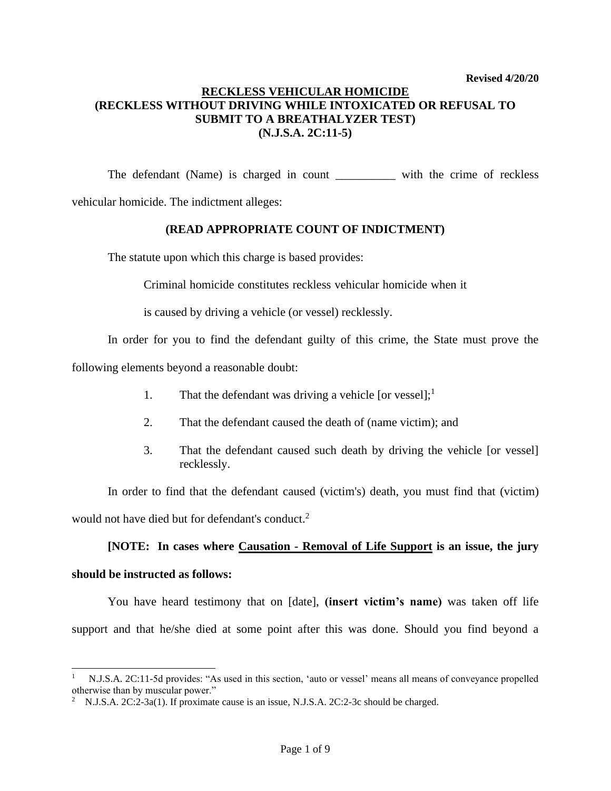## **RECKLESS VEHICULAR HOMICIDE (RECKLESS WITHOUT DRIVING WHILE INTOXICATED OR REFUSAL TO SUBMIT TO A BREATHALYZER TEST) (N.J.S.A. 2C:11-5)**

The defendant (Name) is charged in count \_\_\_\_\_\_\_\_\_\_ with the crime of reckless

vehicular homicide. The indictment alleges:

## **(READ APPROPRIATE COUNT OF INDICTMENT)**

The statute upon which this charge is based provides:

Criminal homicide constitutes reckless vehicular homicide when it

is caused by driving a vehicle (or vessel) recklessly.

In order for you to find the defendant guilty of this crime, the State must prove the

following elements beyond a reasonable doubt:

- 1. That the defendant was driving a vehicle [or vessel];<sup>1</sup>
- 2. That the defendant caused the death of (name victim); and
- 3. That the defendant caused such death by driving the vehicle [or vessel] recklessly.

In order to find that the defendant caused (victim's) death, you must find that (victim) would not have died but for defendant's conduct.<sup>2</sup>

# **[NOTE: In cases where Causation - Removal of Life Support is an issue, the jury**

# **should be instructed as follows:**

You have heard testimony that on [date], **(insert victim's name)** was taken off life support and that he/she died at some point after this was done. Should you find beyond a

<sup>1</sup> N.J.S.A. 2C:11-5d provides: "As used in this section, 'auto or vessel' means all means of conveyance propelled otherwise than by muscular power."

<sup>&</sup>lt;sup>2</sup> N.J.S.A. 2C:2-3a(1). If proximate cause is an issue, N.J.S.A. 2C:2-3c should be charged.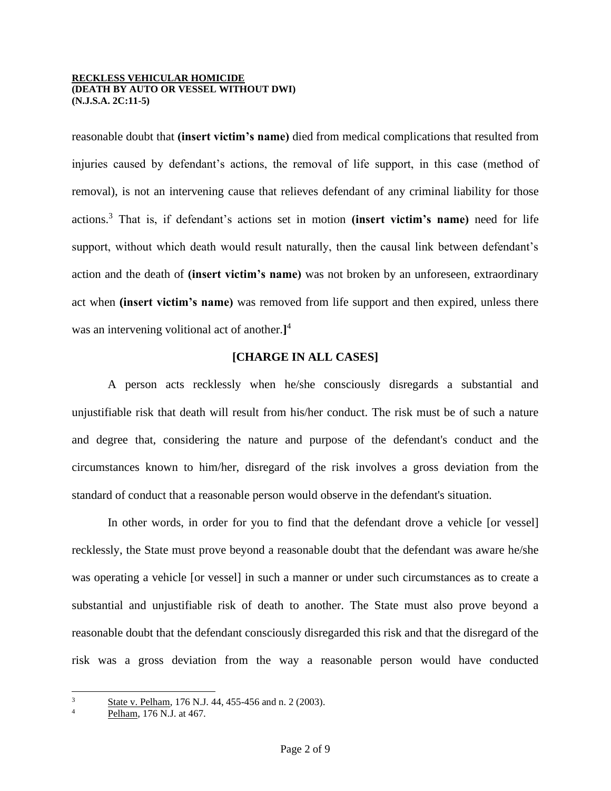reasonable doubt that **(insert victim's name)** died from medical complications that resulted from injuries caused by defendant's actions, the removal of life support, in this case (method of removal), is not an intervening cause that relieves defendant of any criminal liability for those actions.<sup>3</sup> That is, if defendant's actions set in motion **(insert victim's name)** need for life support, without which death would result naturally, then the causal link between defendant's action and the death of **(insert victim's name)** was not broken by an unforeseen, extraordinary act when **(insert victim's name)** was removed from life support and then expired, unless there was an intervening volitional act of another.**]** 4

## **[CHARGE IN ALL CASES]**

A person acts recklessly when he/she consciously disregards a substantial and unjustifiable risk that death will result from his/her conduct. The risk must be of such a nature and degree that, considering the nature and purpose of the defendant's conduct and the circumstances known to him/her, disregard of the risk involves a gross deviation from the standard of conduct that a reasonable person would observe in the defendant's situation.

In other words, in order for you to find that the defendant drove a vehicle [or vessel] recklessly, the State must prove beyond a reasonable doubt that the defendant was aware he/she was operating a vehicle [or vessel] in such a manner or under such circumstances as to create a substantial and unjustifiable risk of death to another. The State must also prove beyond a reasonable doubt that the defendant consciously disregarded this risk and that the disregard of the risk was a gross deviation from the way a reasonable person would have conducted

<sup>3</sup> State v. Pelham, 176 N.J. 44, 455-456 and n. 2 (2003).

Pelham, 176 N.J. at 467.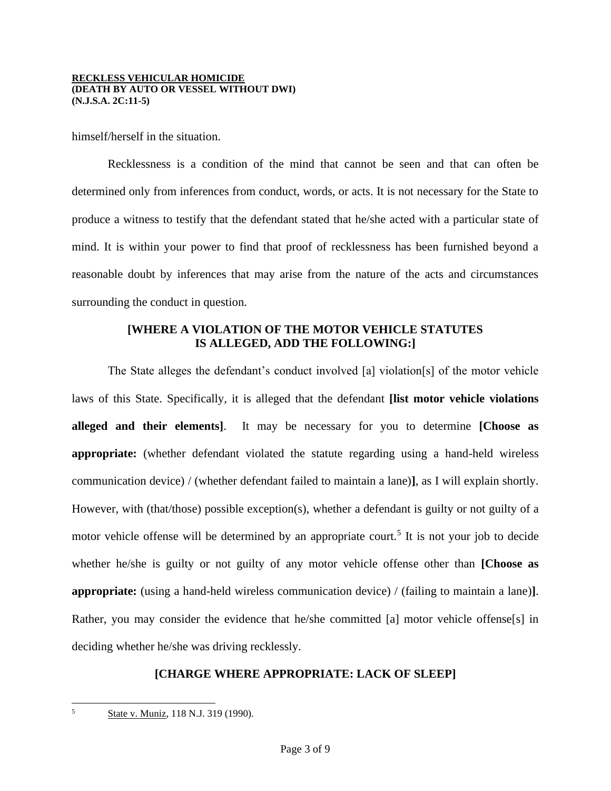himself/herself in the situation.

Recklessness is a condition of the mind that cannot be seen and that can often be determined only from inferences from conduct, words, or acts. It is not necessary for the State to produce a witness to testify that the defendant stated that he/she acted with a particular state of mind. It is within your power to find that proof of recklessness has been furnished beyond a reasonable doubt by inferences that may arise from the nature of the acts and circumstances surrounding the conduct in question.

## **[WHERE A VIOLATION OF THE MOTOR VEHICLE STATUTES IS ALLEGED, ADD THE FOLLOWING:]**

The State alleges the defendant's conduct involved [a] violation[s] of the motor vehicle laws of this State. Specifically, it is alleged that the defendant **[list motor vehicle violations alleged and their elements]**. It may be necessary for you to determine **[Choose as appropriate:** (whether defendant violated the statute regarding using a hand-held wireless communication device) / (whether defendant failed to maintain a lane)**]**, as I will explain shortly. However, with (that/those) possible exception(s), whether a defendant is guilty or not guilty of a motor vehicle offense will be determined by an appropriate court.<sup>5</sup> It is not your job to decide whether he/she is guilty or not guilty of any motor vehicle offense other than **[Choose as appropriate:** (using a hand-held wireless communication device) / (failing to maintain a lane)**]**. Rather, you may consider the evidence that he/she committed [a] motor vehicle offense[s] in deciding whether he/she was driving recklessly.

## **[CHARGE WHERE APPROPRIATE: LACK OF SLEEP]**

5

State v. Muniz, 118 N.J. 319 (1990).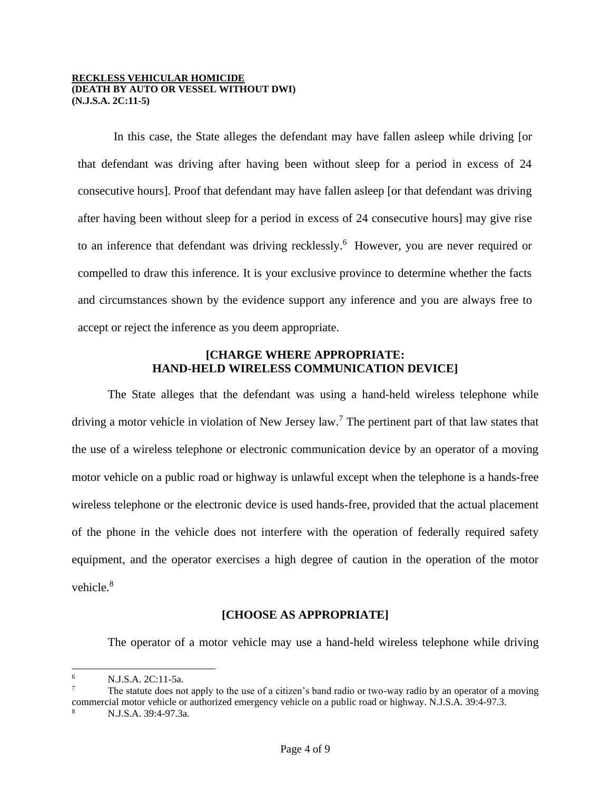In this case, the State alleges the defendant may have fallen asleep while driving [or that defendant was driving after having been without sleep for a period in excess of 24 consecutive hours]. Proof that defendant may have fallen asleep [or that defendant was driving after having been without sleep for a period in excess of 24 consecutive hours] may give rise to an inference that defendant was driving recklessly.<sup>6</sup> However, you are never required or compelled to draw this inference. It is your exclusive province to determine whether the facts and circumstances shown by the evidence support any inference and you are always free to accept or reject the inference as you deem appropriate.

### **[CHARGE WHERE APPROPRIATE: HAND-HELD WIRELESS COMMUNICATION DEVICE]**

The State alleges that the defendant was using a hand-held wireless telephone while driving a motor vehicle in violation of New Jersey law.<sup>7</sup> The pertinent part of that law states that the use of a wireless telephone or electronic communication device by an operator of a moving motor vehicle on a public road or highway is unlawful except when the telephone is a hands-free wireless telephone or the electronic device is used hands-free, provided that the actual placement of the phone in the vehicle does not interfere with the operation of federally required safety equipment, and the operator exercises a high degree of caution in the operation of the motor vehicle.<sup>8</sup>

## **[CHOOSE AS APPROPRIATE]**

The operator of a motor vehicle may use a hand-held wireless telephone while driving

<sup>6</sup> N.J.S.A. 2C:11-5a.

The statute does not apply to the use of a citizen's band radio or two-way radio by an operator of a moving commercial motor vehicle or authorized emergency vehicle on a public road or highway. N.J.S.A. 39:4-97.3.

<sup>8</sup> N.J.S.A. 39:4-97.3a.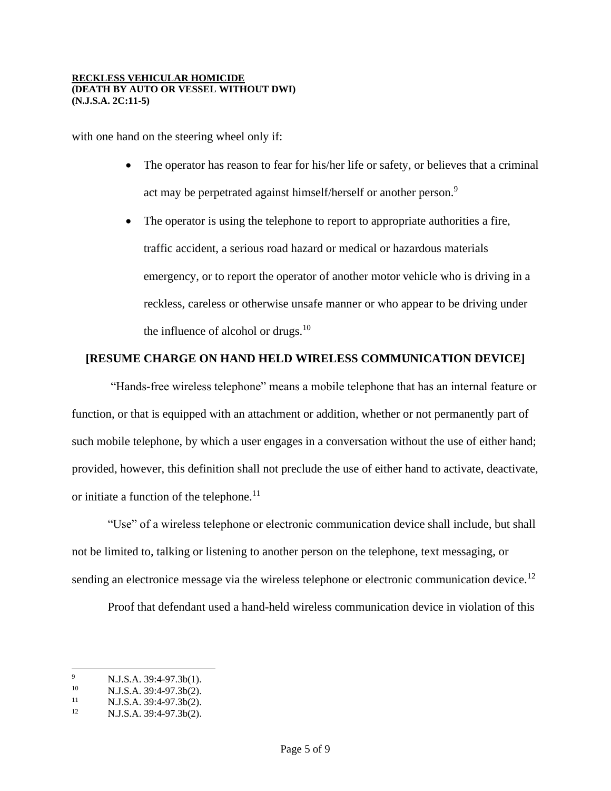with one hand on the steering wheel only if:

- The operator has reason to fear for his/her life or safety, or believes that a criminal act may be perpetrated against himself/herself or another person.<sup>9</sup>
- The operator is using the telephone to report to appropriate authorities a fire, traffic accident, a serious road hazard or medical or hazardous materials emergency, or to report the operator of another motor vehicle who is driving in a reckless, careless or otherwise unsafe manner or who appear to be driving under the influence of alcohol or drugs. $10$

## **[RESUME CHARGE ON HAND HELD WIRELESS COMMUNICATION DEVICE]**

"Hands-free wireless telephone" means a mobile telephone that has an internal feature or function, or that is equipped with an attachment or addition, whether or not permanently part of such mobile telephone, by which a user engages in a conversation without the use of either hand; provided, however, this definition shall not preclude the use of either hand to activate, deactivate, or initiate a function of the telephone.<sup>11</sup>

"Use" of a wireless telephone or electronic communication device shall include, but shall not be limited to, talking or listening to another person on the telephone, text messaging, or sending an electronice message via the wireless telephone or electronic communication device.<sup>12</sup>

Proof that defendant used a hand-held wireless communication device in violation of this

<sup>&</sup>lt;sup>9</sup> N.J.S.A. 39:4-97.3b(1).<br><sup>10</sup> N.J.S.A. 20:4. 97.3b(2).

<sup>&</sup>lt;sup>10</sup> N.J.S.A. 39:4-97.3b(2).

<sup>&</sup>lt;sup>11</sup> N.J.S.A. 39:4-97.3b(2).<br><sup>12</sup> N.J.S.A. 39:4-97.3b(2).

<sup>12</sup> N.J.S.A. 39:4-97.3b(2).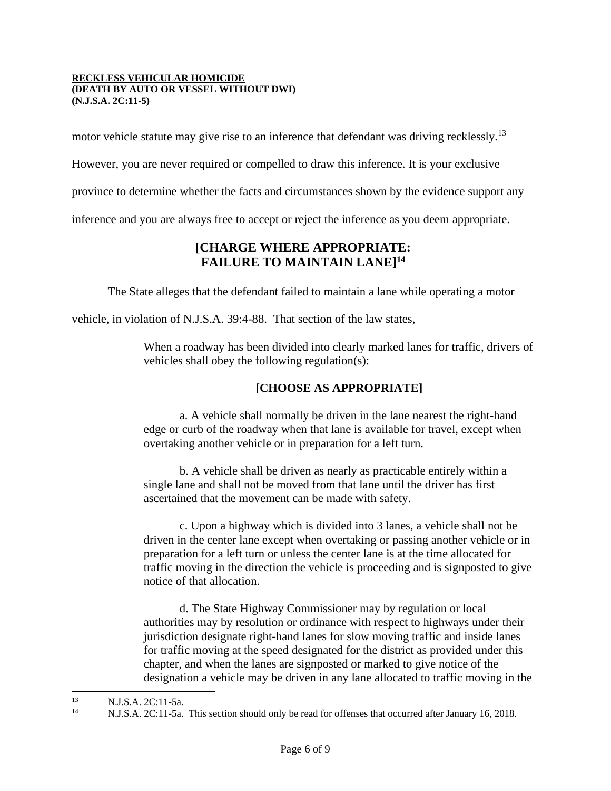motor vehicle statute may give rise to an inference that defendant was driving recklessly.<sup>13</sup>

However, you are never required or compelled to draw this inference. It is your exclusive

province to determine whether the facts and circumstances shown by the evidence support any

inference and you are always free to accept or reject the inference as you deem appropriate.

## **[CHARGE WHERE APPROPRIATE: FAILURE TO MAINTAIN LANE] 14**

The State alleges that the defendant failed to maintain a lane while operating a motor

vehicle, in violation of N.J.S.A. 39:4-88. That section of the law states,

When a roadway has been divided into clearly marked lanes for traffic, drivers of vehicles shall obey the following regulation(s):

## **[CHOOSE AS APPROPRIATE]**

a. A vehicle shall normally be driven in the lane nearest the right-hand edge or curb of the roadway when that lane is available for travel, except when overtaking another vehicle or in preparation for a left turn.

b. A vehicle shall be driven as nearly as practicable entirely within a single lane and shall not be moved from that lane until the driver has first ascertained that the movement can be made with safety.

c. Upon a highway which is divided into 3 lanes, a vehicle shall not be driven in the center lane except when overtaking or passing another vehicle or in preparation for a left turn or unless the center lane is at the time allocated for traffic moving in the direction the vehicle is proceeding and is signposted to give notice of that allocation.

d. The State Highway Commissioner may by regulation or local authorities may by resolution or ordinance with respect to highways under their jurisdiction designate right-hand lanes for slow moving traffic and inside lanes for traffic moving at the speed designated for the district as provided under this chapter, and when the lanes are signposted or marked to give notice of the designation a vehicle may be driven in any lane allocated to traffic moving in the

<sup>13</sup> N.J.S.A. 2C:11-5a.<br><sup>14</sup> N.J.S.A. 2C:11-5a.

<sup>14</sup> N.J.S.A. 2C:11-5a. This section should only be read for offenses that occurred after January 16, 2018.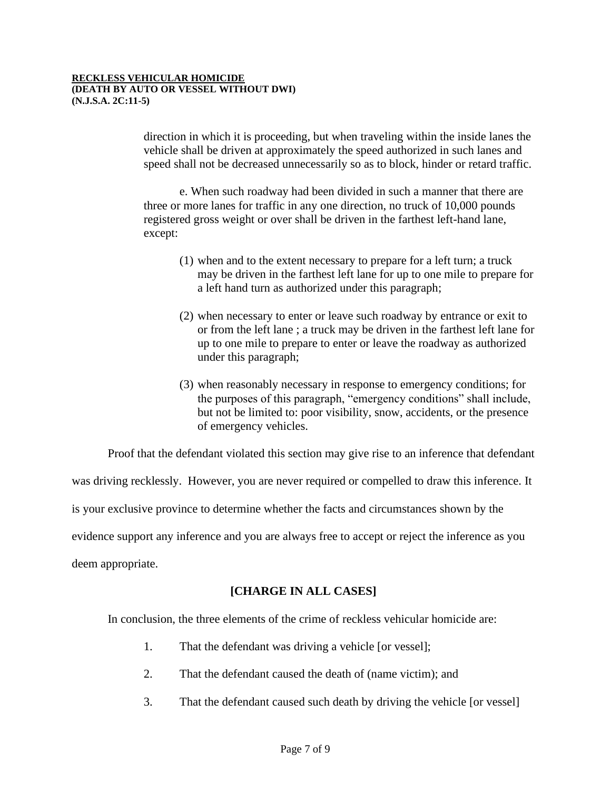direction in which it is proceeding, but when traveling within the inside lanes the vehicle shall be driven at approximately the speed authorized in such lanes and speed shall not be decreased unnecessarily so as to block, hinder or retard traffic.

e. When such roadway had been divided in such a manner that there are three or more lanes for traffic in any one direction, no truck of 10,000 pounds registered gross weight or over shall be driven in the farthest left-hand lane, except:

- (1) when and to the extent necessary to prepare for a left turn; a truck may be driven in the farthest left lane for up to one mile to prepare for a left hand turn as authorized under this paragraph;
- (2) when necessary to enter or leave such roadway by entrance or exit to or from the left lane ; a truck may be driven in the farthest left lane for up to one mile to prepare to enter or leave the roadway as authorized under this paragraph;
- (3) when reasonably necessary in response to emergency conditions; for the purposes of this paragraph, "emergency conditions" shall include, but not be limited to: poor visibility, snow, accidents, or the presence of emergency vehicles.

Proof that the defendant violated this section may give rise to an inference that defendant

was driving recklessly. However, you are never required or compelled to draw this inference. It

is your exclusive province to determine whether the facts and circumstances shown by the

evidence support any inference and you are always free to accept or reject the inference as you

deem appropriate.

## **[CHARGE IN ALL CASES]**

In conclusion, the three elements of the crime of reckless vehicular homicide are:

- 1. That the defendant was driving a vehicle [or vessel];
- 2. That the defendant caused the death of (name victim); and
- 3. That the defendant caused such death by driving the vehicle [or vessel]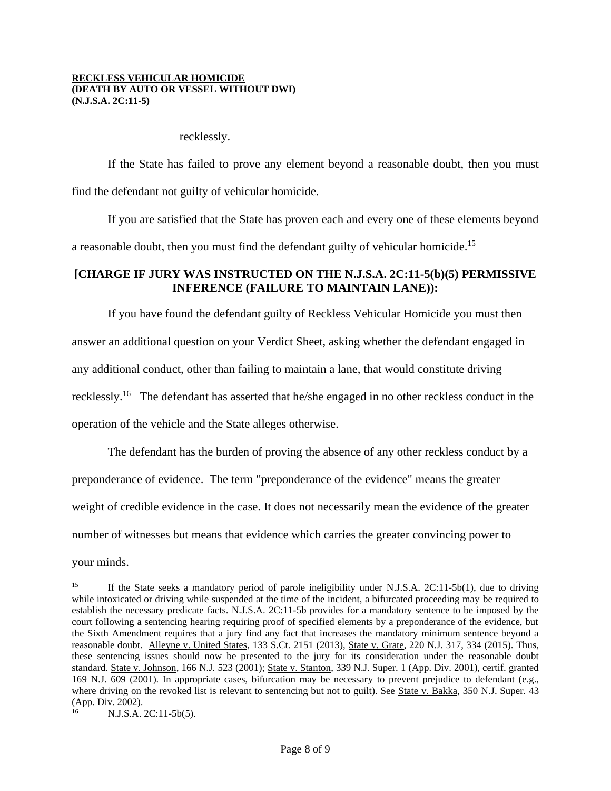recklessly.

If the State has failed to prove any element beyond a reasonable doubt, then you must find the defendant not guilty of vehicular homicide.

If you are satisfied that the State has proven each and every one of these elements beyond a reasonable doubt, then you must find the defendant guilty of vehicular homicide.<sup>15</sup>

## **[CHARGE IF JURY WAS INSTRUCTED ON THE N.J.S.A. 2C:11-5(b)(5) PERMISSIVE INFERENCE (FAILURE TO MAINTAIN LANE)):**

If you have found the defendant guilty of Reckless Vehicular Homicide you must then answer an additional question on your Verdict Sheet, asking whether the defendant engaged in any additional conduct, other than failing to maintain a lane, that would constitute driving recklessly.<sup>16</sup> The defendant has asserted that he/she engaged in no other reckless conduct in the operation of the vehicle and the State alleges otherwise.

The defendant has the burden of proving the absence of any other reckless conduct by a preponderance of evidence. The term "preponderance of the evidence" means the greater weight of credible evidence in the case. It does not necessarily mean the evidence of the greater number of witnesses but means that evidence which carries the greater convincing power to

your minds.

<sup>15</sup> If the State seeks a mandatory period of parole ineligibility under N.J.S.A. 2C:11-5b(1), due to driving while intoxicated or driving while suspended at the time of the incident, a bifurcated proceeding may be required to establish the necessary predicate facts. N.J.S.A. 2C:11-5b provides for a mandatory sentence to be imposed by the court following a sentencing hearing requiring proof of specified elements by a preponderance of the evidence, but the Sixth Amendment requires that a jury find any fact that increases the mandatory minimum sentence beyond a reasonable doubt. Alleyne v. United States, 133 S.Ct. 2151 (2013), State v. Grate, 220 N.J. 317, 334 (2015). Thus, these sentencing issues should now be presented to the jury for its consideration under the reasonable doubt standard. State v. Johnson, 166 N.J. 523 (2001); State v. Stanton, 339 N.J. Super. 1 (App. Div. 2001), certif. granted 169 N.J. 609 (2001). In appropriate cases, bifurcation may be necessary to prevent prejudice to defendant (e.g., where driving on the revoked list is relevant to sentencing but not to guilt). See State v. Bakka, 350 N.J. Super. 43 (App. Div. 2002).

<sup>16</sup> N.J.S.A. 2C:11-5b(5).